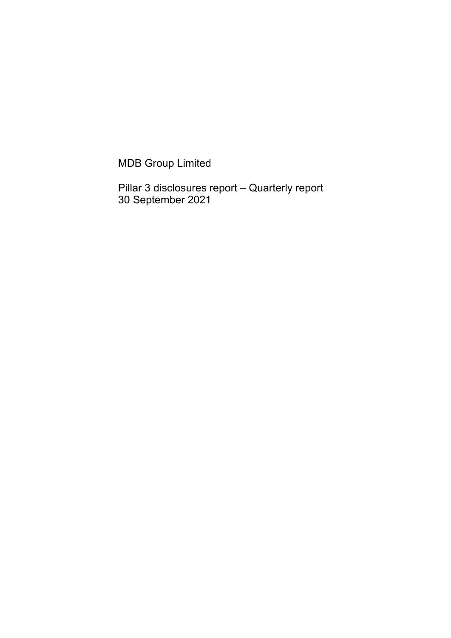MDB Group Limited

Pillar 3 disclosures report – Quarterly report 30 September 2021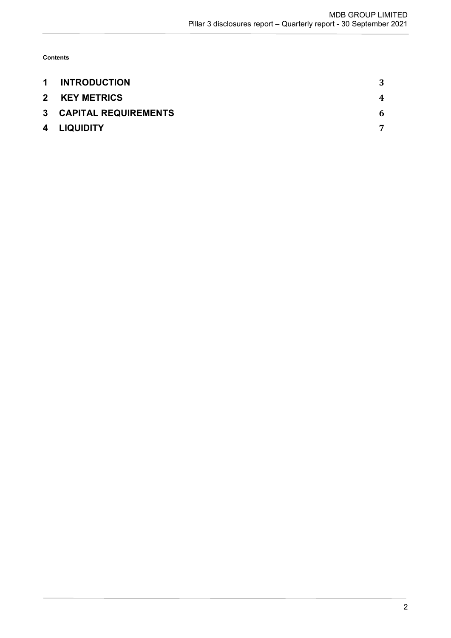Contents

| $\mathbf 1$ | <b>INTRODUCTION</b>           |   |
|-------------|-------------------------------|---|
|             | 2 KEY METRICS                 | 4 |
|             | <b>3 CAPITAL REQUIREMENTS</b> | 6 |
|             | 4 LIQUIDITY                   |   |
|             |                               |   |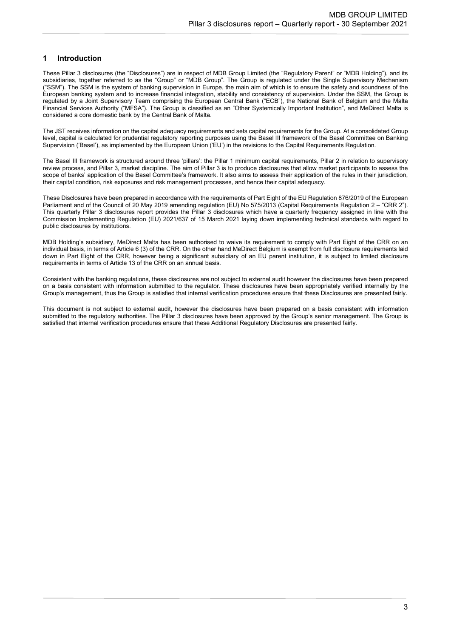# 1 Introduction

These Pillar 3 disclosures (the "Disclosures") are in respect of MDB Group Limited (the "Regulatory Parent" or "MDB Holding"), and its subsidiaries, together referred to as the "Group" or "MDB Group". The Group is regulated under the Single Supervisory Mechanism ("SSM"). The SSM is the system of banking supervision in Europe, the main aim of which is to ensure the safety and soundness of the European banking system and to increase financial integration, stability and consistency of supervision. Under the SSM, the Group is regulated by a Joint Supervisory Team comprising the European Central Bank ("ECB"), the National Bank of Belgium and the Malta Financial Services Authority ("MFSA"). The Group is classified as an "Other Systemically Important Institution", and MeDirect Malta is considered a core domestic bank by the Central Bank of Malta.

The JST receives information on the capital adequacy requirements and sets capital requirements for the Group. At a consolidated Group level, capital is calculated for prudential regulatory reporting purposes using the Basel III framework of the Basel Committee on Banking Supervision ('Basel'), as implemented by the European Union ('EU') in the revisions to the Capital Requirements Regulation.

The Basel III framework is structured around three 'pillars': the Pillar 1 minimum capital requirements, Pillar 2 in relation to supervisory review process, and Pillar 3, market discipline. The aim of Pillar 3 is to produce disclosures that allow market participants to assess the scope of banks' application of the Basel Committee's framework. It also aims to assess their application of the rules in their jurisdiction. their capital condition, risk exposures and risk management processes, and hence their capital adequacy.

These Disclosures have been prepared in accordance with the requirements of Part Eight of the EU Regulation 876/2019 of the European Parliament and of the Council of 20 May 2019 amending regulation (EU) No 575/2013 (Capital Requirements Regulation 2 - "CRR 2"). This quarterly Pillar 3 disclosures report provides the Pillar 3 disclosures which have a quarterly frequency assigned in line with the Commission Implementing Regulation (EU) 2021/637 of 15 March 2021 laying down implementing technical standards with regard to public disclosures by institutions.

MDB Holding's subsidiary, MeDirect Malta has been authorised to waive its requirement to comply with Part Eight of the CRR on an individual basis, in terms of Article 6 (3) of the CRR. On the other hand MeDirect Belgium is exempt from full disclosure requirements laid down in Part Eight of the CRR, however being a significant subsidiary of an EU parent institution, it is subject to limited disclosure requirements in terms of Article 13 of the CRR on an annual basis.

Consistent with the banking regulations, these disclosures are not subject to external audit however the disclosures have been prepared on a basis consistent with information submitted to the regulator. These disclosures have been appropriately verified internally by the Group's management, thus the Group is satisfied that internal verification procedures ensure that these Disclosures are presented fairly.

This document is not subject to external audit, however the disclosures have been prepared on a basis consistent with information submitted to the regulatory authorities. The Pillar 3 disclosures have been approved by the Group's senior management. The Group is satisfied that internal verification procedures ensure that these Additional Regulatory Disclosures are presented fairly.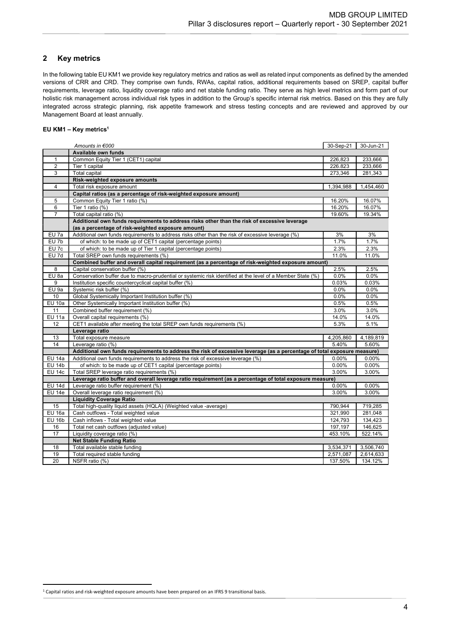# 2 Key metrics

In the following table EU KM1 we provide key regulatory metrics and ratios as well as related input components as defined by the amended versions of CRR and CRD. They comprise own funds, RWAs, capital ratios, additional requirements based on SREP, capital buffer requirements, leverage ratio, liquidity coverage ratio and net stable funding ratio. They serve as high level metrics and form part of our holistic risk management across individual risk types in addition to the Group's specific internal risk metrics. Based on this they are fully integrated across strategic planning, risk appetite framework and stress testing concepts and are reviewed and approved by our Management Board at least annually.

### EU KM1 – Key metrics $1$

|                 | Amounts in €000                                                                                                         | 30-Sep-21 | 30-Jun-21 |  |  |  |  |
|-----------------|-------------------------------------------------------------------------------------------------------------------------|-----------|-----------|--|--|--|--|
|                 | Available own funds                                                                                                     |           |           |  |  |  |  |
| 1               | Common Equity Tier 1 (CET1) capital                                                                                     | 226,823   | 233,666   |  |  |  |  |
| $\overline{2}$  | Tier 1 capital                                                                                                          | 226.823   | 233,666   |  |  |  |  |
| 3               | <b>Total capital</b>                                                                                                    | 273,346   | 281,343   |  |  |  |  |
|                 | Risk-weighted exposure amounts                                                                                          |           |           |  |  |  |  |
| $\overline{4}$  | Total risk exposure amount                                                                                              | 1,394,988 | 1,454,460 |  |  |  |  |
|                 | Capital ratios (as a percentage of risk-weighted exposure amount)                                                       |           |           |  |  |  |  |
| 5               | Common Equity Tier 1 ratio (%)                                                                                          | 16.20%    | 16.07%    |  |  |  |  |
| 6               | Tier 1 ratio (%)                                                                                                        | 16.20%    | 16.07%    |  |  |  |  |
| 7               | Total capital ratio (%)                                                                                                 | 19.60%    | 19.34%    |  |  |  |  |
|                 | Additional own funds requirements to address risks other than the risk of excessive leverage                            |           |           |  |  |  |  |
|                 | (as a percentage of risk-weighted exposure amount)                                                                      |           |           |  |  |  |  |
| EU 7a           | Additional own funds requirements to address risks other than the risk of excessive leverage (%)                        | 3%        | 3%        |  |  |  |  |
| EU 7b           | of which: to be made up of CET1 capital (percentage points)                                                             | 1.7%      | 1.7%      |  |  |  |  |
| EU 7c           | of which: to be made up of Tier 1 capital (percentage points)                                                           | 2.3%      | 2.3%      |  |  |  |  |
| $EU$ 7d         | Total SREP own funds requirements (%)                                                                                   | 11.0%     | 11.0%     |  |  |  |  |
|                 | Combined buffer and overall capital requirement (as a percentage of risk-weighted exposure amount)                      |           |           |  |  |  |  |
| 8               | Capital conservation buffer (%)                                                                                         | 2.5%      | 2.5%      |  |  |  |  |
| EU 8a           | Conservation buffer due to macro-prudential or systemic risk identified at the level of a Member State (%)              | 0.0%      | 0.0%      |  |  |  |  |
| 9               | Institution specific countercyclical capital buffer (%)                                                                 | 0.03%     | 0.03%     |  |  |  |  |
| EU 9a           | Systemic risk buffer (%)                                                                                                | 0.0%      | 0.0%      |  |  |  |  |
| 10 <sup>1</sup> | Global Systemically Important Institution buffer (%)                                                                    | 0.0%      | 0.0%      |  |  |  |  |
| $EU$ 10a        | Other Systemically Important Institution buffer (%)                                                                     | 0.5%      | 0.5%      |  |  |  |  |
| 11              | Combined buffer requirement (%)                                                                                         | 3.0%      | 3.0%      |  |  |  |  |
| $EU$ 11a        | Overall capital requirements (%)                                                                                        | 14.0%     | 14.0%     |  |  |  |  |
| 12              | CET1 available after meeting the total SREP own funds requirements (%)                                                  | 5.3%      | 5.1%      |  |  |  |  |
|                 | Leverage ratio                                                                                                          |           |           |  |  |  |  |
| 13              | Total exposure measure                                                                                                  | 4,205,860 | 4,189,819 |  |  |  |  |
| 14              | Leverage ratio (%)                                                                                                      | 5.40%     | 5.60%     |  |  |  |  |
|                 | Additional own funds requirements to address the risk of excessive leverage (as a percentage of total exposure measure) |           |           |  |  |  |  |
| <b>EU 14a</b>   | Additional own funds requirements to address the risk of excessive leverage (%)                                         | 0.00%     | 0.00%     |  |  |  |  |
| <b>EU 14b</b>   | of which: to be made up of CET1 capital (percentage points)                                                             | 0.00%     | 0.00%     |  |  |  |  |
| <b>EU 14c</b>   | Total SREP leverage ratio requirements (%)                                                                              | 3.00%     | 3.00%     |  |  |  |  |
|                 | Leverage ratio buffer and overall leverage ratio requirement (as a percentage of total exposure measure)                |           |           |  |  |  |  |
| <b>EU 14d</b>   | Leverage ratio buffer requirement (%)                                                                                   | 0.00%     | 0.00%     |  |  |  |  |
| <b>EU 14e</b>   | Overall leverage ratio requirement (%)                                                                                  | 3.00%     | 3.00%     |  |  |  |  |
|                 | <b>Liquidity Coverage Ratio</b>                                                                                         |           |           |  |  |  |  |
| 15              | Total high-quality liquid assets (HQLA) (Weighted value -average)                                                       | 790,944   | 719,285   |  |  |  |  |
| $EU$ 16a        | Cash outflows - Total weighted value                                                                                    | 321,990   | 281,048   |  |  |  |  |
| <b>EU 16b</b>   | Cash inflows - Total weighted value                                                                                     | 124,793   | 134,423   |  |  |  |  |
| 16              | Total net cash outflows (adjusted value)                                                                                | 197,197   | 146,625   |  |  |  |  |
| 17              | Liquidity coverage ratio (%)                                                                                            | 453.10%   | 522.14%   |  |  |  |  |
|                 | <b>Net Stable Funding Ratio</b>                                                                                         |           |           |  |  |  |  |
| 18              | Total available stable funding                                                                                          | 3,534,371 | 3,506,740 |  |  |  |  |
| 19              | Total required stable funding                                                                                           | 2,571,087 | 2,614,633 |  |  |  |  |
| 20              | NSFR ratio (%)                                                                                                          | 137.50%   | 134.12%   |  |  |  |  |

1 Capital ratios and risk-weighted exposure amounts have been prepared on an IFRS 9 transitional basis.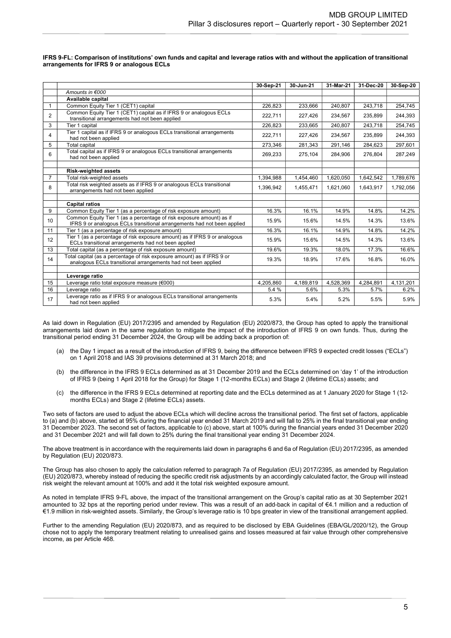|    |                                                                                                                                                 | 30-Sep-21 | 30-Jun-21 | 31-Mar-21 | 31-Dec-20 | 30-Sep-20 |
|----|-------------------------------------------------------------------------------------------------------------------------------------------------|-----------|-----------|-----------|-----------|-----------|
|    | Amounts in €000                                                                                                                                 |           |           |           |           |           |
|    | Available capital                                                                                                                               |           |           |           |           |           |
|    | Common Equity Tier 1 (CET1) capital                                                                                                             | 226,823   | 233,666   | 240,807   | 243,718   | 254,745   |
| 2  | Common Equity Tier 1 (CET1) capital as if IFRS 9 or analogous ECLs<br>transitional arrangements had not been applied                            | 222,711   | 227,426   | 234,567   | 235,899   | 244,393   |
| 3  | Tier 1 capital                                                                                                                                  | 226,823   | 233,665   | 240,807   | 243,718   | 254,745   |
| 4  | Tier 1 capital as if IFRS 9 or analogous ECLs transitional arrangements<br>had not been applied                                                 | 222,711   | 227,426   | 234,567   | 235,899   | 244,393   |
| 5  | <b>Total capital</b>                                                                                                                            | 273,346   | 281,343   | 291,146   | 284,623   | 297,601   |
| 6  | Total capital as if IFRS 9 or analogous ECLs transitional arrangements<br>had not been applied                                                  | 269,233   | 275,104   | 284,906   | 276,804   | 287,249   |
|    |                                                                                                                                                 |           |           |           |           |           |
|    | <b>Risk-weighted assets</b>                                                                                                                     |           |           |           |           |           |
| 7  | Total risk-weighted assets                                                                                                                      | 1,394,988 | 1,454,460 | 1.620.050 | 1,642,542 | 1,789,676 |
| 8  | Total risk weighted assets as if IFRS 9 or analogous ECLs transitional<br>arrangements had not been applied                                     | 1,396,942 | 1,455,471 | 1,621,060 | 1,643,917 | 1,792,056 |
|    |                                                                                                                                                 |           |           |           |           |           |
|    | <b>Capital ratios</b>                                                                                                                           |           |           |           |           |           |
| 9  | Common Equity Tier 1 (as a percentage of risk exposure amount)                                                                                  | 16.3%     | 16.1%     | 14.9%     | 14.8%     | 14.2%     |
| 10 | Common Equity Tier 1 (as a percentage of risk exposure amount) as if<br>IFRS 9 or analogous ECLs transitional arrangements had not been applied | 15.9%     | 15.6%     | 14.5%     | 14.3%     | 13.6%     |
| 11 | Tier 1 (as a percentage of risk exposure amount)                                                                                                | 16.3%     | 16.1%     | 14.9%     | 14.8%     | 14.2%     |
| 12 | Tier 1 (as a percentage of risk exposure amount) as if IFRS 9 or analogous<br>ECLs transitional arrangements had not been applied               | 15.9%     | 15.6%     | 14.5%     | 14.3%     | 13.6%     |
| 13 | Total capital (as a percentage of risk exposure amount)                                                                                         | 19.6%     | 19.3%     | 18.0%     | 17.3%     | 16.6%     |
| 14 | Total capital (as a percentage of risk exposure amount) as if IFRS 9 or<br>analogous ECLs transitional arrangements had not been applied        | 19.3%     | 18.9%     | 17.6%     | 16.8%     | 16.0%     |
|    |                                                                                                                                                 |           |           |           |           |           |
|    | Leverage ratio                                                                                                                                  |           |           |           |           |           |
| 15 | Leverage ratio total exposure measure (€000)                                                                                                    | 4,205,860 | 4,189,819 | 4,528,369 | 4,284,891 | 4,131,201 |
| 16 | Leverage ratio                                                                                                                                  | 5.4 %     | 5.6%      | 5.3%      | 5.7%      | 6.2%      |
| 17 | Leverage ratio as if IFRS 9 or analogous ECLs transitional arrangements<br>had not been applied                                                 | 5.3%      | 5.4%      | 5.2%      | 5.5%      | 5.9%      |

#### IFRS 9-FL: Comparison of institutions' own funds and capital and leverage ratios with and without the application of transitional arrangements for IFRS 9 or analogous ECLs

As laid down in Regulation (EU) 2017/2395 and amended by Regulation (EU) 2020/873, the Group has opted to apply the transitional arrangements laid down in the same regulation to mitigate the impact of the introduction of IFRS 9 on own funds. Thus, during the transitional period ending 31 December 2024, the Group will be adding back a proportion of:

- (a) the Day 1 impact as a result of the introduction of IFRS 9, being the difference between IFRS 9 expected credit losses ("ECLs") on 1 April 2018 and IAS 39 provisions determined at 31 March 2018; and
- (b) the difference in the IFRS 9 ECLs determined as at 31 December 2019 and the ECLs determined on 'day 1' of the introduction of IFRS 9 (being 1 April 2018 for the Group) for Stage 1 (12-months ECLs) and Stage 2 (lifetime ECLs) assets; and
- (c) the difference in the IFRS 9 ECLs determined at reporting date and the ECLs determined as at 1 January 2020 for Stage 1 (12 months ECLs) and Stage 2 (lifetime ECLs) assets.

Two sets of factors are used to adjust the above ECLs which will decline across the transitional period. The first set of factors, applicable to (a) and (b) above, started at 95% during the financial year ended 31 March 2019 and will fall to 25% in the final transitional year ending 31 December 2023. The second set of factors, applicable to (c) above, start at 100% during the financial years ended 31 December 2020 and 31 December 2021 and will fall down to 25% during the final transitional year ending 31 December 2024.

The above treatment is in accordance with the requirements laid down in paragraphs 6 and 6a of Regulation (EU) 2017/2395, as amended by Regulation (EU) 2020/873.

The Group has also chosen to apply the calculation referred to paragraph 7a of Regulation (EU) 2017/2395, as amended by Regulation (EU) 2020/873, whereby instead of reducing the specific credit risk adjustments by an accordingly calculated factor, the Group will instead risk weight the relevant amount at 100% and add it the total risk weighted exposure amount.

As noted in template IFRS 9-FL above, the impact of the transitional arrangement on the Group's capital ratio as at 30 September 2021 amounted to 32 bps at the reporting period under review. This was a result of an add-back in capital of €4.1 million and a reduction of €1.9 million in risk-weighted assets. Similarly, the Group's leverage ratio is 10 bps greater in view of the transitional arrangement applied.

Further to the amending Regulation (EU) 2020/873, and as required to be disclosed by EBA Guidelines (EBA/GL/2020/12), the Group chose not to apply the temporary treatment relating to unrealised gains and losses measured at fair value through other comprehensive income, as per Article 468.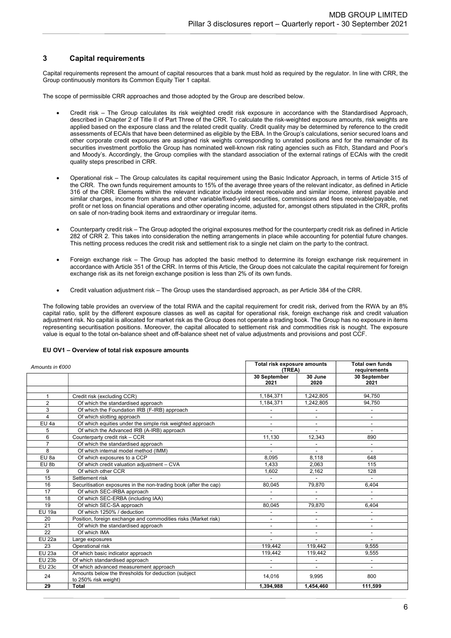## 3 Capital requirements

Capital requirements represent the amount of capital resources that a bank must hold as required by the regulator. In line with CRR, the Group continuously monitors its Common Equity Tier 1 capital.

The scope of permissible CRR approaches and those adopted by the Group are described below.

- Credit risk The Group calculates its risk weighted credit risk exposure in accordance with the Standardised Approach, described in Chapter 2 of Title II of Part Three of the CRR. To calculate the risk-weighted exposure amounts, risk weights are applied based on the exposure class and the related credit quality. Credit quality may be determined by reference to the credit assessments of ECAIs that have been determined as eligible by the EBA. In the Group's calculations, senior secured loans and other corporate credit exposures are assigned risk weights corresponding to unrated positions and for the remainder of its securities investment portfolio the Group has nominated well-known risk rating agencies such as Fitch, Standard and Poor's and Moody's. Accordingly, the Group complies with the standard association of the external ratings of ECAIs with the credit quality steps prescribed in CRR.
- Operational risk The Group calculates its capital requirement using the Basic Indicator Approach, in terms of Article 315 of the CRR. The own funds requirement amounts to 15% of the average three years of the relevant indicator, as defined in Article 316 of the CRR. Elements within the relevant indicator include interest receivable and similar income, interest payable and similar charges, income from shares and other variable/fixed-yield securities, commissions and fees receivable/payable, net profit or net loss on financial operations and other operating income, adjusted for, amongst others stipulated in the CRR, profits on sale of non-trading book items and extraordinary or irregular items.
- Counterparty credit risk The Group adopted the original exposures method for the counterparty credit risk as defined in Article 282 of CRR 2. This takes into consideration the netting arrangements in place while accounting for potential future changes. This netting process reduces the credit risk and settlement risk to a single net claim on the party to the contract.
- Foreign exchange risk The Group has adopted the basic method to determine its foreign exchange risk requirement in accordance with Article 351 of the CRR. In terms of this Article, the Group does not calculate the capital requirement for foreign exchange risk as its net foreign exchange position is less than 2% of its own funds.
- Credit valuation adjustment risk The Group uses the standardised approach, as per Article 384 of the CRR.

The following table provides an overview of the total RWA and the capital requirement for credit risk, derived from the RWA by an 8% capital ratio, split by the different exposure classes as well as capital for operational risk, foreign exchange risk and credit valuation adjustment risk. No capital is allocated for market risk as the Group does not operate a trading book. The Group has no exposure in items representing securitisation positions. Moreover, the capital allocated to settlement risk and commodities risk is nought. The exposure value is equal to the total on-balance sheet and off-balance sheet net of value adjustments and provisions and post CCF.

### EU OV1 – Overview of total risk exposure amounts

| Amounts in €000         |                                                                             | Total risk exposure amounts<br>(TREA) | <b>Total own funds</b><br>requirements |                          |
|-------------------------|-----------------------------------------------------------------------------|---------------------------------------|----------------------------------------|--------------------------|
|                         |                                                                             | 30 September<br>2021                  | 30 June<br>2020                        | 30 September<br>2021     |
| $\mathbf{1}$            | Credit risk (excluding CCR)                                                 | 1,184,371                             | 1,242,805                              | 94.750                   |
| $\overline{2}$          | Of which the standardised approach                                          | 1,184,371                             | 1,242,805                              | 94,750                   |
| 3                       | Of which the Foundation IRB (F-IRB) approach                                |                                       | $\overline{\phantom{a}}$               |                          |
| $\overline{\mathbf{4}}$ | Of which slotting approach                                                  | $\overline{\phantom{a}}$              | $\overline{\phantom{a}}$               | $\overline{\phantom{a}}$ |
| EU 4a                   | Of which equities under the simple risk weighted approach                   | ٠                                     | $\overline{\phantom{a}}$               | $\blacksquare$           |
| 5                       | Of which the Advanced IRB (A-IRB) approach                                  |                                       |                                        |                          |
| 6                       | Counterparty credit risk - CCR                                              | 11,130                                | 12,343                                 | 890                      |
| $\overline{7}$          | Of which the standardised approach                                          |                                       |                                        | $\overline{\phantom{a}}$ |
| 8                       | Of which internal model method (IMM)                                        | $\overline{\phantom{0}}$              | $\overline{\phantom{a}}$               | $\overline{\phantom{a}}$ |
| EU 8a                   | Of which exposures to a CCP                                                 | 8,095                                 | 8,118                                  | 648                      |
| EU 8b                   | Of which credit valuation adjustment - CVA                                  | 1.433                                 | 2,063                                  | 115                      |
| 9                       | Of which other CCR                                                          | 1,602                                 | 2,162                                  | 128                      |
| 15                      | Settlement risk                                                             |                                       |                                        |                          |
| 16                      | Securitisation exposures in the non-trading book (after the cap)            | 80,045                                | 79,870                                 | 6,404                    |
| 17                      | Of which SEC-IRBA approach                                                  |                                       |                                        |                          |
| 18                      | Of which SEC-ERBA (including IAA)                                           |                                       |                                        |                          |
| 19                      | Of which SEC-SA approach                                                    | 80.045                                | 79,870                                 | 6.404                    |
| <b>EU 19a</b>           | Of which 1250% / deduction                                                  |                                       | $\overline{\phantom{a}}$               | $\overline{\phantom{a}}$ |
| 20                      | Position, foreign exchange and commodities risks (Market risk)              |                                       | $\overline{\phantom{0}}$               | $\blacksquare$           |
| 21                      | Of which the standardised approach                                          |                                       |                                        |                          |
| 22                      | Of which IMA                                                                |                                       | $\blacksquare$                         | $\overline{\phantom{a}}$ |
| <b>EU 22a</b>           | Large exposures                                                             |                                       |                                        |                          |
| 23                      | Operational risk                                                            | 119.442                               | 119.442                                | 9.555                    |
| <b>EU 23a</b>           | Of which basic indicator approach                                           | 119,442                               | 119,442                                | 9,555                    |
| <b>EU 23b</b>           | Of which standardised approach                                              |                                       | $\overline{\phantom{a}}$               |                          |
| <b>EU 23c</b>           | Of which advanced measurement approach                                      |                                       |                                        |                          |
| 24                      | Amounts below the thresholds for deduction (subject<br>to 250% risk weight) | 14,016                                | 9,995                                  | 800                      |
| 29                      | <b>Total</b>                                                                | 1,394,988                             | 1,454,460                              | 111,599                  |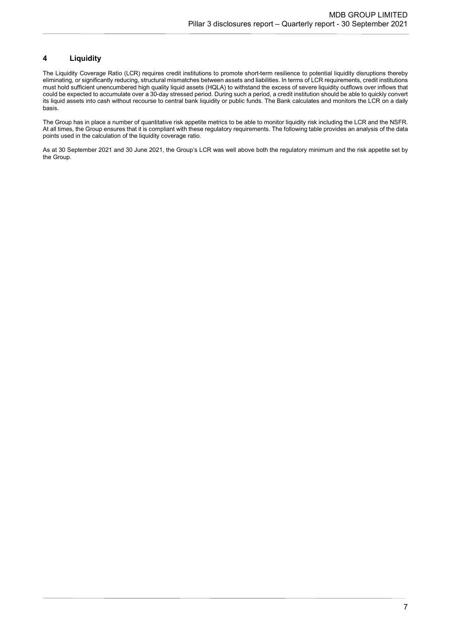# 4 Liquidity

The Liquidity Coverage Ratio (LCR) requires credit institutions to promote short-term resilience to potential liquidity disruptions thereby eliminating, or significantly reducing, structural mismatches between assets and liabilities. In terms of LCR requirements, credit institutions must hold sufficient unencumbered high quality liquid assets (HQLA) to withstand the excess of severe liquidity outflows over inflows that could be expected to accumulate over a 30-day stressed period. During such a period, a credit institution should be able to quickly convert its liquid assets into cash without recourse to central bank liquidity or public funds. The Bank calculates and monitors the LCR on a daily basis.

The Group has in place a number of quantitative risk appetite metrics to be able to monitor liquidity risk including the LCR and the NSFR. At all times, the Group ensures that it is compliant with these regulatory requirements. The following table provides an analysis of the data points used in the calculation of the liquidity coverage ratio.

As at 30 September 2021 and 30 June 2021, the Group's LCR was well above both the regulatory minimum and the risk appetite set by the Group.